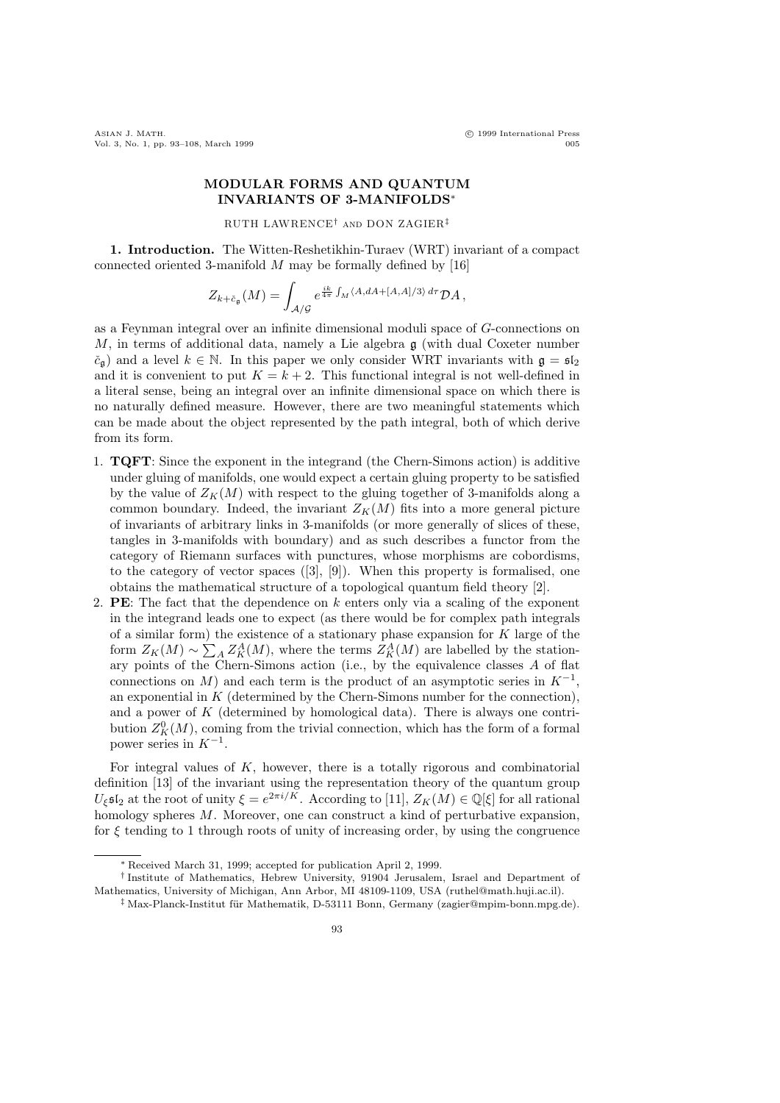## MODULAR FORMS AND QUANTUM INVARIANTS OF 3-MANIFOLDS<sup>∗</sup>

RUTH LAWRENCE† and DON ZAGIER‡

1. Introduction. The Witten-Reshetikhin-Turaev (WRT) invariant of a compact connected oriented 3-manifold  $M$  may be formally defined by [16]

$$
Z_{k+\tilde{c}_{\mathfrak{g}}}(M)=\int_{\mathcal{A}/\mathcal{G}}e^{\frac{ik}{4\pi}\int_M\langle A,dA+[A,A]/3\rangle d\tau}\mathcal{D}A,
$$

as a Feynman integral over an infinite dimensional moduli space of G-connections on  $M$ , in terms of additional data, namely a Lie algebra  $\mathfrak g$  (with dual Coxeter number  $\check{c}_\mathfrak{g}$ ) and a level  $k \in \mathbb{N}$ . In this paper we only consider WRT invariants with  $\mathfrak{g} = \mathfrak{sl}_2$ and it is convenient to put  $K = k + 2$ . This functional integral is not well-defined in a literal sense, being an integral over an infinite dimensional space on which there is no naturally defined measure. However, there are two meaningful statements which can be made about the object represented by the path integral, both of which derive from its form.

- 1. TQFT: Since the exponent in the integrand (the Chern-Simons action) is additive under gluing of manifolds, one would expect a certain gluing property to be satisfied by the value of  $Z_K(M)$  with respect to the gluing together of 3-manifolds along a common boundary. Indeed, the invariant  $Z_K(M)$  fits into a more general picture of invariants of arbitrary links in 3-manifolds (or more generally of slices of these, tangles in 3-manifolds with boundary) and as such describes a functor from the category of Riemann surfaces with punctures, whose morphisms are cobordisms, to the category of vector spaces ([3], [9]). When this property is formalised, one obtains the mathematical structure of a topological quantum field theory [2].
- 2. **PE**: The fact that the dependence on k enters only via a scaling of the exponent in the integrand leads one to expect (as there would be for complex path integrals of a similar form) the existence of a stationary phase expansion for K large of the form  $Z_K(M) \sim \sum_A Z_K^A(M)$ , where the terms  $Z_K^A(M)$  are labelled by the stationary points of the Chern-Simons action (i.e., by the equivalence classes A of flat connections on M) and each term is the product of an asymptotic series in  $K^{-1}$ , an exponential in  $K$  (determined by the Chern-Simons number for the connection), and a power of  $K$  (determined by homological data). There is always one contribution  $Z_K^0(M)$ , coming from the trivial connection, which has the form of a formal power series in  $K^{-1}$ .

For integral values of  $K$ , however, there is a totally rigorous and combinatorial definition [13] of the invariant using the representation theory of the quantum group  $U_{\xi}$ **s**<sup>[</sup><sub>2</sub> at the root of unity  $\xi = e^{2\pi i/K}$ . According to [11],  $Z_K(M) \in \mathbb{Q}[\xi]$  for all rational homology spheres  $M$ . Moreover, one can construct a kind of perturbative expansion, for  $\xi$  tending to 1 through roots of unity of increasing order, by using the congruence

<sup>∗</sup> Received March 31, 1999; accepted for publication April 2, 1999.

<sup>†</sup> Institute of Mathematics, Hebrew University, 91904 Jerusalem, Israel and Department of Mathematics, University of Michigan, Ann Arbor, MI 48109-1109, USA (ruthel@math.huji.ac.il).

<sup>&</sup>lt;sup>‡</sup> Max-Planck-Institut für Mathematik, D-53111 Bonn, Germany (zagier@mpim-bonn.mpg.de).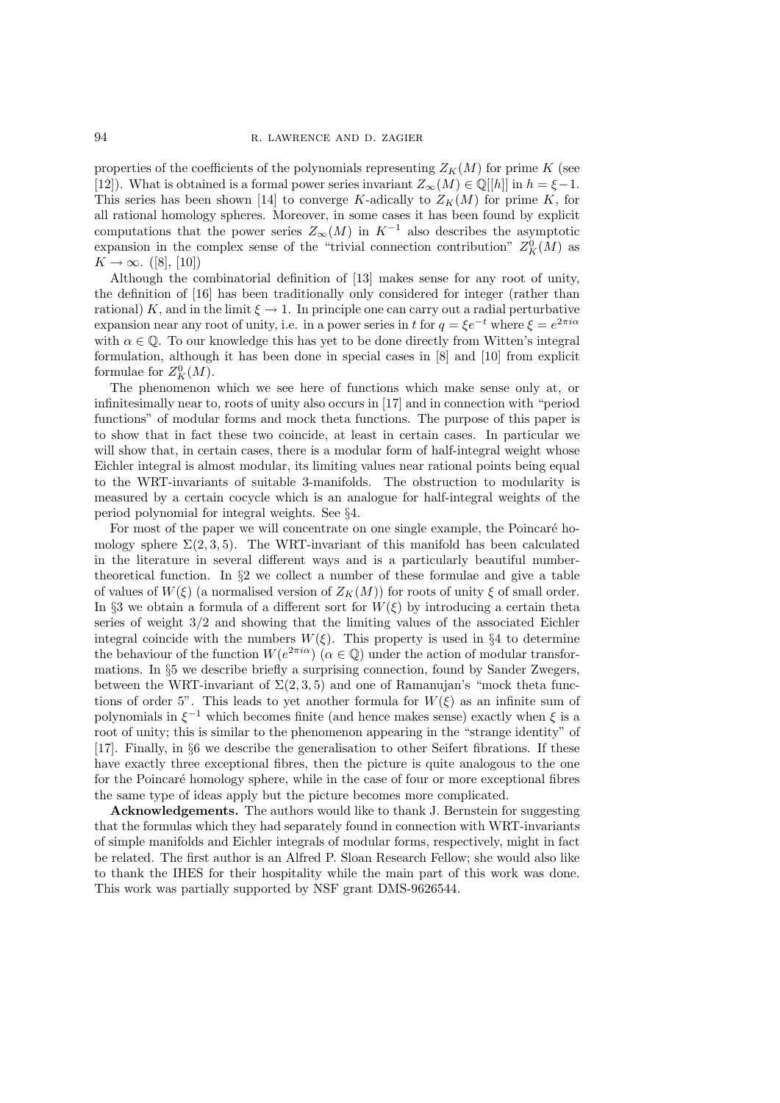properties of the coefficients of the polynomials representing  $Z_K(M)$  for prime K (see [12]). What is obtained is a formal power series invariant  $Z_{\infty}(M) \in \mathbb{Q}[[h]]$  in  $h = \xi - 1$ . This series has been shown [14] to converge K-adically to  $Z_K(M)$  for prime K, for all rational homology spheres. Moreover, in some cases it has been found by explicit computations that the power series  $Z_{\infty}(M)$  in K<sup>-1</sup> also describes the asymptotic expansion in the complex sense of the "trivial connection contribution"  $Z_K^0(M)$  as  $K \to \infty$ . ([8], [10])

Although the combinatorial definition of [13] makes sense for any root of unity, the definition of [16] has been traditionally only considered for integer (rather than rational) K, and in the limit  $\xi \to 1$ . In principle one can carry out a radial perturbative expansion near any root of unity, i.e. in a power series in t for  $q = \xi e^{-t}$  where  $\xi = e^{2\pi i \alpha}$ with  $\alpha \in \mathbb{Q}$ . To our knowledge this has yet to be done directly from Witten's integral formulation, although it has been done in special cases in [8] and [10] from explicit formulae for  $Z_K^0(M)$ .

The phenomenon which we see here of functions which make sense only at, or infinitesimally near to, roots of unity also occurs in [17] and in connection with "period functions" of modular forms and mock theta functions. The purpose of this paper is to show that in fact these two coincide, at least in certain cases. In particular we will show that, in certain cases, there is a modular form of half-integral weight whose Eichler integral is almost modular, its limiting values near rational points being equal to the WRT-invariants of suitable 3-manifolds. The obstruction to modularity is measured by a certain cocycle which is an analogue for half-integral weights of the period polynomial for integral weights. See §4.

For most of the paper we will concentrate on one single example, the Poincaré homology sphere  $\Sigma(2,3,5)$ . The WRT-invariant of this manifold has been calculated in the literature in several different ways and is a particularly beautiful numbertheoretical function. In §2 we collect a number of these formulae and give a table of values of  $W(\xi)$  (a normalised version of  $Z_K(M)$ ) for roots of unity  $\xi$  of small order. In §3 we obtain a formula of a different sort for  $W(\xi)$  by introducing a certain theta series of weight 3/2 and showing that the limiting values of the associated Eichler integral coincide with the numbers  $W(\xi)$ . This property is used in §4 to determine the behaviour of the function  $W(e^{2\pi i\alpha})$  ( $\alpha \in \mathbb{Q}$ ) under the action of modular transformations. In §5 we describe briefly a surprising connection, found by Sander Zwegers, between the WRT-invariant of  $\Sigma(2,3,5)$  and one of Ramanujan's "mock theta functions of order 5". This leads to yet another formula for  $W(\xi)$  as an infinite sum of polynomials in  $\xi^{-1}$  which becomes finite (and hence makes sense) exactly when  $\xi$  is a root of unity; this is similar to the phenomenon appearing in the "strange identity" of [17]. Finally, in §6 we describe the generalisation to other Seifert fibrations. If these have exactly three exceptional fibres, then the picture is quite analogous to the one for the Poincaré homology sphere, while in the case of four or more exceptional fibres the same type of ideas apply but the picture becomes more complicated.

Acknowledgements. The authors would like to thank J. Bernstein for suggesting that the formulas which they had separately found in connection with WRT-invariants of simple manifolds and Eichler integrals of modular forms, respectively, might in fact be related. The first author is an Alfred P. Sloan Research Fellow; she would also like to thank the IHES for their hospitality while the main part of this work was done. This work was partially supported by NSF grant DMS-9626544.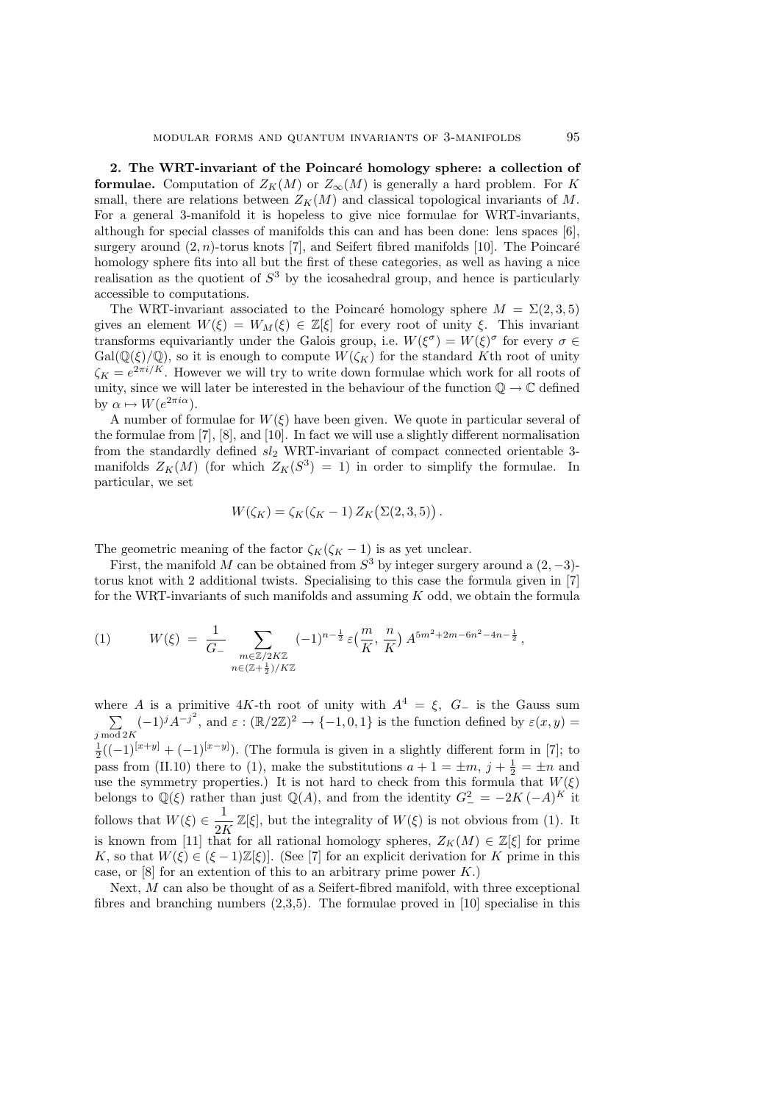2. The WRT-invariant of the Poincaré homology sphere: a collection of formulae. Computation of  $Z_K(M)$  or  $Z_\infty(M)$  is generally a hard problem. For K small, there are relations between  $Z_K(M)$  and classical topological invariants of M. For a general 3-manifold it is hopeless to give nice formulae for WRT-invariants, although for special classes of manifolds this can and has been done: lens spaces [6], surgery around  $(2, n)$ -torus knots [7], and Seifert fibred manifolds [10]. The Poincaré homology sphere fits into all but the first of these categories, as well as having a nice realisation as the quotient of  $S^3$  by the icosahedral group, and hence is particularly accessible to computations.

The WRT-invariant associated to the Poincaré homology sphere  $M = \Sigma(2, 3, 5)$ gives an element  $W(\xi) = W_M(\xi) \in \mathbb{Z}[\xi]$  for every root of unity  $\xi$ . This invariant transforms equivariantly under the Galois group, i.e.  $W(\xi^{\sigma}) = W(\xi)^{\sigma}$  for every  $\sigma \in$  $Gal(\mathbb{Q}(\xi)/\mathbb{Q})$ , so it is enough to compute  $W(\zeta_K)$  for the standard Kth root of unity  $\zeta_K = e^{2\pi i/K}$ . However we will try to write down formulae which work for all roots of unity, since we will later be interested in the behaviour of the function  $\mathbb{Q} \to \mathbb{C}$  defined by  $\alpha \mapsto W(e^{2\pi i \alpha}).$ 

A number of formulae for  $W(\xi)$  have been given. We quote in particular several of the formulae from [7], [8], and [10]. In fact we will use a slightly different normalisation from the standardly defined  $sl_2$  WRT-invariant of compact connected orientable 3manifolds  $Z_K(M)$  (for which  $Z_K(S^3) = 1$ ) in order to simplify the formulae. In particular, we set

$$
W(\zeta_K) = \zeta_K(\zeta_K - 1) Z_K(\Sigma(2,3,5)) .
$$

The geometric meaning of the factor  $\zeta_K(\zeta_K - 1)$  is as yet unclear.

First, the manifold M can be obtained from  $S^3$  by integer surgery around a  $(2, -3)$ torus knot with 2 additional twists. Specialising to this case the formula given in [7] for the WRT-invariants of such manifolds and assuming K odd, we obtain the formula

(1) 
$$
W(\xi) = \frac{1}{G_{-}} \sum_{\substack{m \in \mathbb{Z}/2K\mathbb{Z} \\ n \in (\mathbb{Z} + \frac{1}{2})/K\mathbb{Z}}} (-1)^{n - \frac{1}{2}} \varepsilon \left(\frac{m}{K}, \frac{n}{K}\right) A^{5m^{2} + 2m - 6n^{2} - 4n - \frac{1}{2}},
$$

where A is a primitive 4K-th root of unity with  $A^4 = \xi$ ,  $G_$  is the Gauss sum  $\tilde{C}$  $j \mod 2K$  $(-1)^j A^{-j^2}$ , and  $\varepsilon : (\mathbb{R}/2\mathbb{Z})^2 \to \{-1,0,1\}$  is the function defined by  $\varepsilon(x,y) =$  $\frac{1}{2}((-1)^{[x+y]} + (-1)^{[x-y]}$ ). (The formula is given in a slightly different form in [7]; to pass from (II.10) there to (1), make the substitutions  $a + 1 = \pm m$ ,  $j + \frac{1}{2} = \pm n$  and use the symmetry properties.) It is not hard to check from this formula that  $W(\xi)$ belongs to  $\mathbb{Q}(\xi)$  rather than just  $\mathbb{Q}(A)$ , and from the identity  $G_-^2 = -2K(-A)^K$  it follows that  $W(\xi) \in \frac{1}{2\lambda}$  $\frac{1}{2K}\mathbb{Z}[\xi]$ , but the integrality of  $W(\xi)$  is not obvious from (1). It is known from [11] that for all rational homology spheres,  $Z_K(M) \in \mathbb{Z}[\xi]$  for prime K, so that  $W(\xi) \in (\xi - 1)\mathbb{Z}[\xi]$ . (See [7] for an explicit derivation for K prime in this case, or  $[8]$  for an extention of this to an arbitrary prime power  $K$ .)

Next, M can also be thought of as a Seifert-fibred manifold, with three exceptional fibres and branching numbers  $(2,3,5)$ . The formulae proved in [10] specialise in this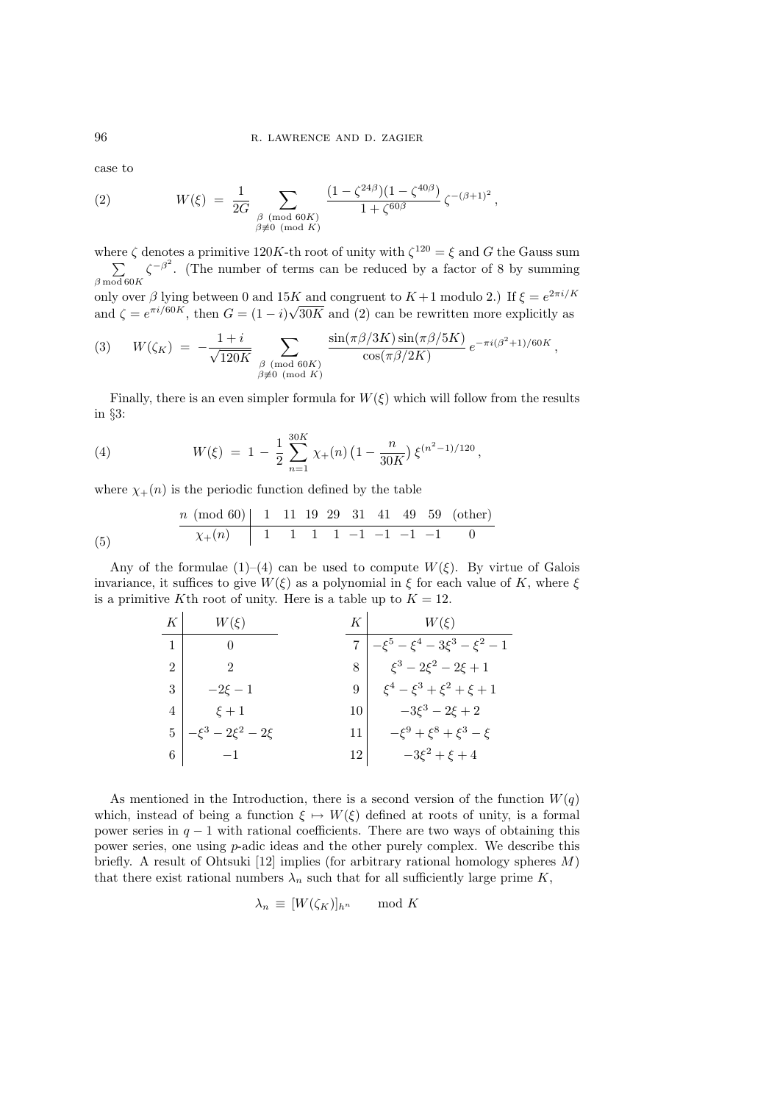case to

(2) 
$$
W(\xi) = \frac{1}{2G} \sum_{\substack{\beta \pmod{60K} \\ \beta \not\equiv 0 \pmod{K}}} \frac{(1 - \zeta^{24\beta})(1 - \zeta^{40\beta})}{1 + \zeta^{60\beta}} \zeta^{-(\beta+1)^2},
$$

where  $\zeta$  denotes a primitive 120K-th root of unity with  $\zeta^{120} = \xi$  and G the Gauss sum  $\frac{1}{\sqrt{2}}$  $\beta$  mod 60 $K$  $\zeta^{-\beta^2}$ . (The number of terms can be reduced by a factor of 8 by summing only over  $\beta$  lying between 0 and 15K and congruent to  $K+1$  modulo 2.) If  $\xi = e^{2\pi i/K}$ 

and  $\zeta = e^{\pi i/60K}$ , then  $G = (1 - i)\sqrt{30K}$  and (2) can be rewritten more explicitly as

(3) 
$$
W(\zeta_K) = -\frac{1+i}{\sqrt{120K}} \sum_{\substack{\beta \pmod{60K} \\ \beta \neq 0 \pmod{K}}} \frac{\sin(\pi \beta/3K) \sin(\pi \beta/5K)}{\cos(\pi \beta/2K)} e^{-\pi i (\beta^2+1)/60K},
$$

Finally, there is an even simpler formula for  $W(\xi)$  which will follow from the results in §3:

(4) 
$$
W(\xi) = 1 - \frac{1}{2} \sum_{n=1}^{30K} \chi_{+}(n) \left(1 - \frac{n}{30K}\right) \xi^{(n^2 - 1)/120},
$$

where  $\chi_{+}(n)$  is the periodic function defined by the table

$$
\begin{array}{c|cccccc}\n & n \pmod{60} & 1 & 11 & 19 & 29 & 31 & 41 & 49 & 59 & \text{(other)} \\
\hline\n & \chi_{+}(n) & 1 & 1 & 1 & 1 & -1 & -1 & -1 & -1 & 0\n\end{array}
$$

Any of the formulae (1)–(4) can be used to compute  $W(\xi)$ . By virtue of Galois invariance, it suffices to give  $W(\xi)$  as a polynomial in  $\xi$  for each value of K, where  $\xi$ is a primitive Kth root of unity. Here is a table up to  $K = 12$ .

| K              | $(\xi)$                  |    | $W(\mathcal{E})$                      |
|----------------|--------------------------|----|---------------------------------------|
|                |                          |    | $-\xi^5 - \xi^4 - 3\xi^3 - \xi^2 - 1$ |
| $\mathfrak{D}$ |                          | 8  | $\xi^3 - 2\xi^2 - 2\xi + 1$           |
| 3              | $-2\xi - 1$              | 9  | $\xi^4 - \xi^3 + \xi^2 + \xi + 1$     |
| 4              | $\xi + 1$                | 10 | $-3\xi^3 - 2\xi + 2$                  |
| 5              | $-\xi^3 - 2\xi^2 - 2\xi$ | 11 | $-\xi^9 + \xi^8 + \xi^3 - \xi$        |
| 6              |                          | 12 | $-3\xi^2 + \xi + 4$                   |

As mentioned in the Introduction, there is a second version of the function  $W(q)$ which, instead of being a function  $\xi \mapsto W(\xi)$  defined at roots of unity, is a formal power series in  $q - 1$  with rational coefficients. There are two ways of obtaining this power series, one using p-adic ideas and the other purely complex. We describe this briefly. A result of Ohtsuki [12] implies (for arbitrary rational homology spheres  $M$ ) that there exist rational numbers  $\lambda_n$  such that for all sufficiently large prime K,

$$
\lambda_n \equiv [W(\zeta_K)]_{h^n} \mod K
$$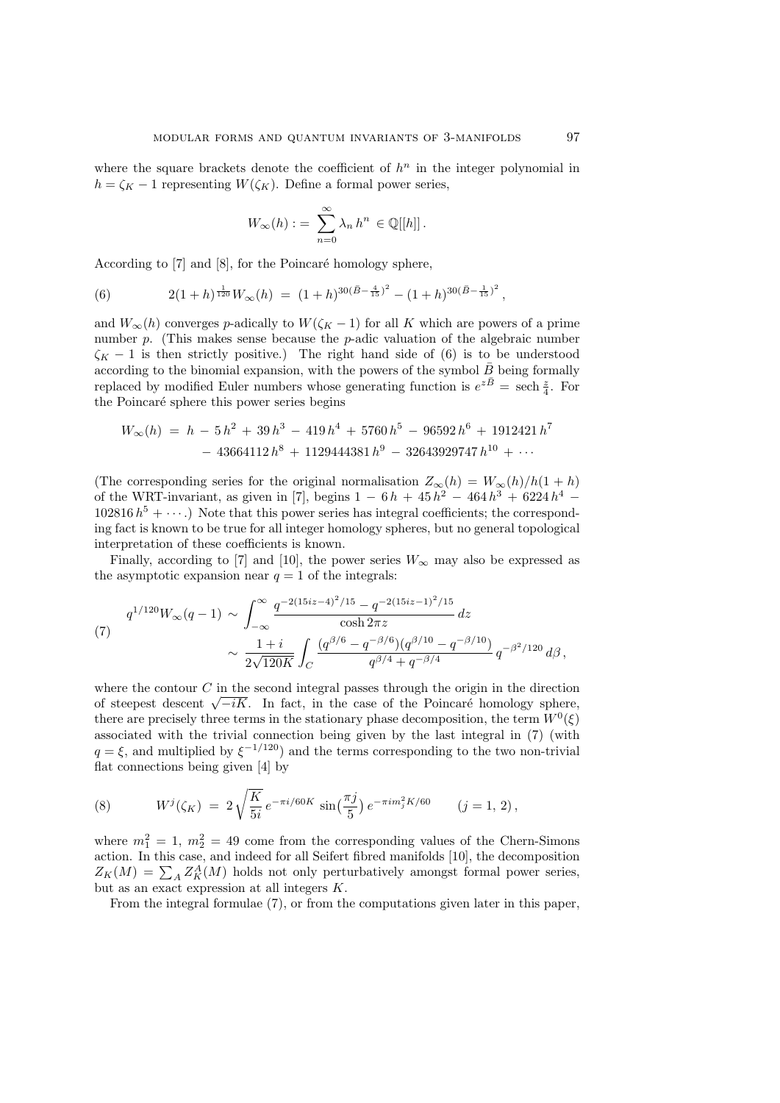where the square brackets denote the coefficient of  $h<sup>n</sup>$  in the integer polynomial in  $h = \zeta_K - 1$  representing  $W(\zeta_K)$ . Define a formal power series,

$$
W_{\infty}(h) := \sum_{n=0}^{\infty} \lambda_n h^n \in \mathbb{Q}[[h]].
$$

According to  $[7]$  and  $[8]$ , for the Poincaré homology sphere,

(6) 
$$
2(1+h)^{\frac{1}{120}}W_{\infty}(h) = (1+h)^{30(\bar{B}-\frac{4}{15})^2} - (1+h)^{30(\bar{B}-\frac{1}{15})^2},
$$

and  $W_\infty(h)$  converges p-adically to  $W(\zeta_K - 1)$  for all K which are powers of a prime number  $p$ . (This makes sense because the  $p$ -adic valuation of the algebraic number  $\zeta_K - 1$  is then strictly positive.) The right hand side of (6) is to be understood according to the binomial expansion, with the powers of the symbol  $\bar{B}$  being formally replaced by modified Euler numbers whose generating function is  $e^{z\overline{B}} = \operatorname{sech} \frac{z}{4}$ . For the Poincaré sphere this power series begins

$$
W_{\infty}(h) = h - 5h^2 + 39h^3 - 419h^4 + 5760h^5 - 96592h^6 + 1912421h^7
$$
  
- 43664112h<sup>8</sup> + 1129444381h<sup>9</sup> - 32643929747h<sup>10</sup> + ...

(The corresponding series for the original normalisation  $Z_{\infty}(h) = W_{\infty}(h)/h(1+h)$ of the WRT-invariant, as given in [7], begins  $1 - 6h + 45h^2 - 464h^3 + 6224h^4$  $102816 h<sup>5</sup> + \cdots$ ) Note that this power series has integral coefficients; the corresponding fact is known to be true for all integer homology spheres, but no general topological interpretation of these coefficients is known.

Finally, according to [7] and [10], the power series  $W_{\infty}$  may also be expressed as the asymptotic expansion near  $q = 1$  of the integrals:

(7) 
$$
q^{1/120}W_{\infty}(q-1) \sim \int_{-\infty}^{\infty} \frac{q^{-2(15iz-4)^2/15} - q^{-2(15iz-1)^2/15}}{\cosh 2\pi z} dz
$$

$$
\sim \frac{1+i}{2\sqrt{120K}} \int_{C} \frac{(q^{\beta/6} - q^{-\beta/6})(q^{\beta/10} - q^{-\beta/10})}{q^{\beta/4} + q^{-\beta/4}} q^{-\beta^2/120} d\beta,
$$

where the contour  $C$  in the second integral passes through the origin in the direction where the contour  $C$  in the second integral passes through the origin in the direction of steepest descent  $\sqrt{-iK}$ . In fact, in the case of the Poincaré homology sphere, there are precisely three terms in the stationary phase decomposition, the term  $W^0(\xi)$ associated with the trivial connection being given by the last integral in (7) (with  $q = \xi$ , and multiplied by  $\xi^{-1/120}$  and the terms corresponding to the two non-trivial flat connections being given [4] by

(8) 
$$
W^{j}(\zeta_{K}) = 2\sqrt{\frac{K}{5i}} e^{-\pi i/60K} \sin(\frac{\pi j}{5}) e^{-\pi i m_{j}^{2} K/60} \qquad (j = 1, 2),
$$

where  $m_1^2 = 1$ ,  $m_2^2 = 49$  come from the corresponding values of the Chern-Simons action. In this case, and indeed for all Seifert fibred manifolds [10], the decomposition action. In this case, and indeed for all sellert libred manifolds [10], the decomposition  $Z_K(M) = \sum_A Z_K^A(M)$  holds not only perturbatively amongst formal power series, but as an exact expression at all integers K.

From the integral formulae (7), or from the computations given later in this paper,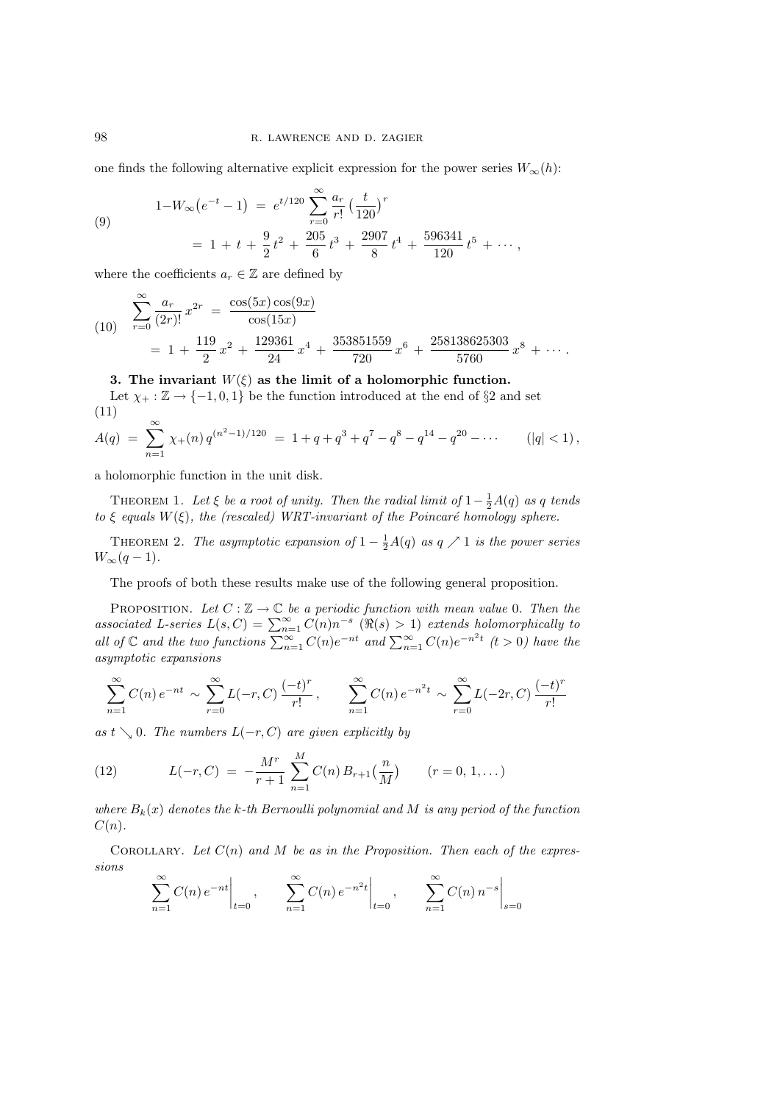one finds the following alternative explicit expression for the power series  $W_{\infty}(h)$ :

(9)  

$$
1-W_{\infty}(e^{-t}-1) = e^{t/120} \sum_{r=0}^{\infty} \frac{a_r}{r!} \left(\frac{t}{120}\right)^r
$$

$$
= 1 + t + \frac{9}{2}t^2 + \frac{205}{6}t^3 + \frac{2907}{8}t^4 + \frac{596341}{120}t^5 + \cdots,
$$

where the coefficients  $a_r \in \mathbb{Z}$  are defined by

(10) 
$$
\sum_{r=0}^{\infty} \frac{a_r}{(2r)!} x^{2r} = \frac{\cos(5x)\cos(9x)}{\cos(15x)}
$$

$$
= 1 + \frac{119}{2}x^2 + \frac{129361}{24}x^4 + \frac{353851559}{720}x^6 + \frac{258138625303}{5760}x^8 + \cdots
$$

## 3. The invariant  $W(\xi)$  as the limit of a holomorphic function.

Let  $\chi_+ : \mathbb{Z} \to \{-1, 0, 1\}$  be the function introduced at the end of §2 and set (11)

$$
A(q) = \sum_{n=1}^{\infty} \chi_{+}(n) q^{(n^{2}-1)/120} = 1 + q + q^{3} + q^{7} - q^{8} - q^{14} - q^{20} - \cdots \qquad (|q| < 1),
$$

a holomorphic function in the unit disk.

THEOREM 1. Let  $\xi$  be a root of unity. Then the radial limit of  $1-\frac{1}{2}A(q)$  as q tends to  $\xi$  equals  $W(\xi)$ , the (rescaled) WRT-invariant of the Poincaré homology sphere.

THEOREM 2. The asymptotic expansion of  $1-\frac{1}{2}A(q)$  as  $q \nearrow 1$  is the power series  $W_{\infty}(q-1).$ 

The proofs of both these results make use of the following general proposition.

PROPOSITION. Let  $C : \mathbb{Z} \to \mathbb{C}$  be a periodic function with mean value 0. Then the associated L-series  $L(s, C) = \sum_{n=1}^{\infty} C(n)n^{-s}$  ( $\Re(s) > 1$ ) extends holomorphically to all of  $\mathbb{C}$  and the two functions  $\sum_{n=1}^{\$ asymptotic expansions

$$
\sum_{n=1}^{\infty} C(n) e^{-nt} \sim \sum_{r=0}^{\infty} L(-r, C) \frac{(-t)^r}{r!}, \qquad \sum_{n=1}^{\infty} C(n) e^{-n^2 t} \sim \sum_{r=0}^{\infty} L(-2r, C) \frac{(-t)^r}{r!}
$$

as  $t \searrow 0$ . The numbers  $L(-r, C)$  are given explicitly by

(12) 
$$
L(-r, C) = -\frac{M^r}{r+1} \sum_{n=1}^{M} C(n) B_{r+1}\left(\frac{n}{M}\right) \qquad (r = 0, 1, ...)
$$

where  $B_k(x)$  denotes the k-th Bernoulli polynomial and M is any period of the function  $C(n).$ 

COROLLARY. Let  $C(n)$  and M be as in the Proposition. Then each of the expressions  $\overline{a}$  $\overline{a}$  $\overline{a}$ 

$$
\sum_{n=1}^{\infty} C(n) e^{-nt} \Big|_{t=0}, \qquad \sum_{n=1}^{\infty} C(n) e^{-n^2 t} \Big|_{t=0}, \qquad \sum_{n=1}^{\infty} C(n) n^{-s} \Big|_{s=0}
$$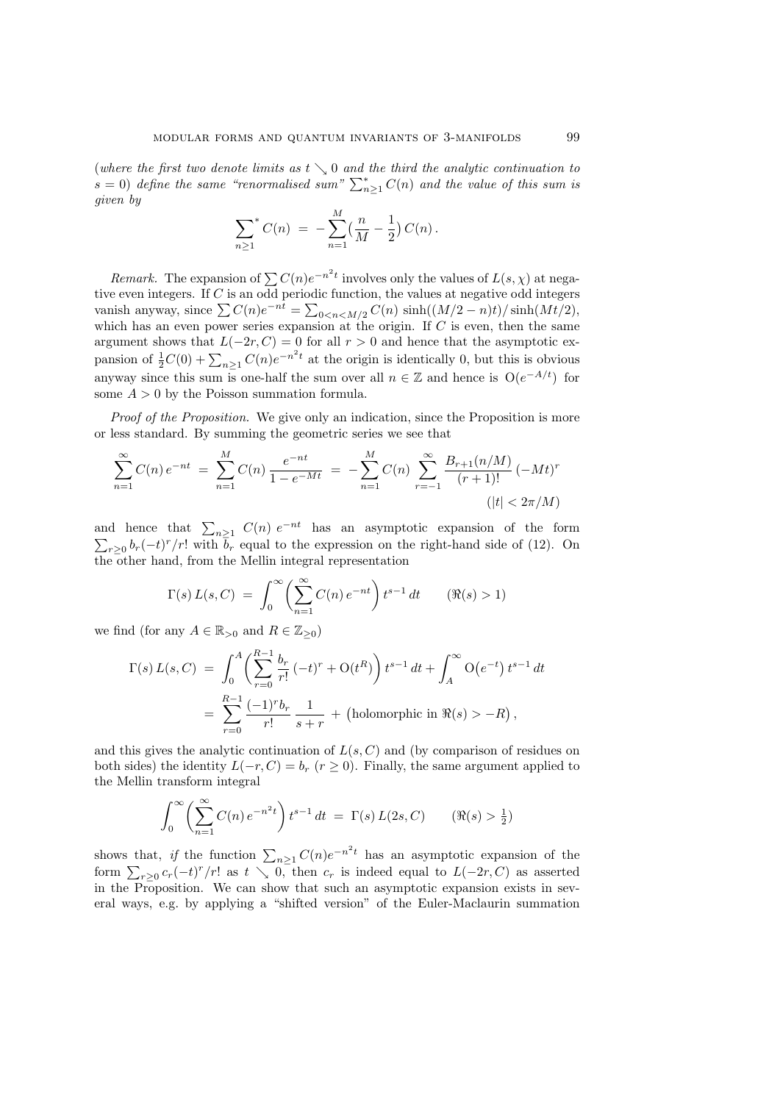(where the first two denote limits as  $t \searrow 0$  and the third the analytic continuation to (where the first two denote timits as  $t \searrow 0$  and the third the analytic continuation to  $s = 0$ ) define the same "renormalised sum"  $\sum_{n=1}^{\infty} C(n)$  and the value of this sum is given by

$$
\sum_{n\geq 1}^{\infty} C(n) = -\sum_{n=1}^{M} \left(\frac{n}{M} - \frac{1}{2}\right) C(n).
$$

Remark. The expansion of  $\sum C(n)e^{-n^2t}$  involves only the values of  $L(s, \chi)$  at negative even integers. If C is an odd periodic function, the values at negative odd integers tive even integers. If C is an odd periodic function, the values at hegative odd integers vanish anyway, since  $\sum C(n)e^{-nt} = \sum_{0 \le n \le M/2} C(n) \sinh((M/2 - n)t)/\sinh(Mt/2)$ , which has an even power series expansion at the origin. If  $C$  is even, then the same argument shows that  $L(-2r, C) = 0$  for all  $r > 0$  and hence that the asymptotic exargument shows that  $E(-2i, \theta) = 0$  for an  $i > 0$  and nence that the asymptotic ex-<br>pansion of  $\frac{1}{2}C(0) + \sum_{n \geq 1} C(n)e^{-n^2t}$  at the origin is identically 0, but this is obvious anyway since this sum is one-half the sum over all  $n \in \mathbb{Z}$  and hence is  $O(e^{-A/t})$  for some  $A > 0$  by the Poisson summation formula.

Proof of the Proposition. We give only an indication, since the Proposition is more or less standard. By summing the geometric series we see that

$$
\sum_{n=1}^{\infty} C(n) e^{-nt} = \sum_{n=1}^{M} C(n) \frac{e^{-nt}}{1 - e^{-Mt}} = -\sum_{n=1}^{M} C(n) \sum_{r=-1}^{\infty} \frac{B_{r+1}(n/M)}{(r+1)!} (-Mt)^r
$$
  
(|t| < 2\pi/M)

and hence that  $\sum_{n\geq 1} C(n) e^{-nt}$  has an asymptotic expansion of the form  $r \geq 0$   $b_r(-t)^r/r!$  with  $\bar{b}_r$  equal to the expression on the right-hand side of (12). On the other hand, from the Mellin integral representation

$$
\Gamma(s) L(s, C) = \int_0^\infty \left( \sum_{n=1}^\infty C(n) e^{-nt} \right) t^{s-1} dt \qquad (\Re(s) > 1)
$$

we find (for any  $A \in \mathbb{R}_{>0}$  and  $R \in \mathbb{Z}_{\geq 0}$ )

$$
\Gamma(s) L(s, C) = \int_0^A \left( \sum_{r=0}^{R-1} \frac{b_r}{r!} (-t)^r + O(t^R) \right) t^{s-1} dt + \int_A^{\infty} O(e^{-t}) t^{s-1} dt
$$
  
= 
$$
\sum_{r=0}^{R-1} \frac{(-1)^r b_r}{r!} \frac{1}{s+r} + \text{(holomorphic in } \Re(s) > -R),
$$

and this gives the analytic continuation of  $L(s, C)$  and (by comparison of residues on both sides) the identity  $L(-r, C) = b_r$   $(r \ge 0)$ . Finally, the same argument applied to the Mellin transform integral

$$
\int_0^\infty \left(\sum_{n=1}^\infty C(n) e^{-n^2 t}\right) t^{s-1} dt = \Gamma(s) L(2s, C) \qquad (\Re(s) > \frac{1}{2})
$$

shows that, if the function  $\sum_{n\geq 1} C(n)e^{-n^2t}$  has an asymptotic expansion of the shows that, if the function  $\sum_{n\geq 1} C(t)e$  has an asymptotic expansion of the<br>form  $\sum_{r\geq 0} c_r(-t)^r/r!$  as  $t \searrow 0$ , then  $c_r$  is indeed equal to  $L(-2r, C)$  as asserted in the Proposition. We can show that such an asymptotic expansion exists in several ways, e.g. by applying a "shifted version" of the Euler-Maclaurin summation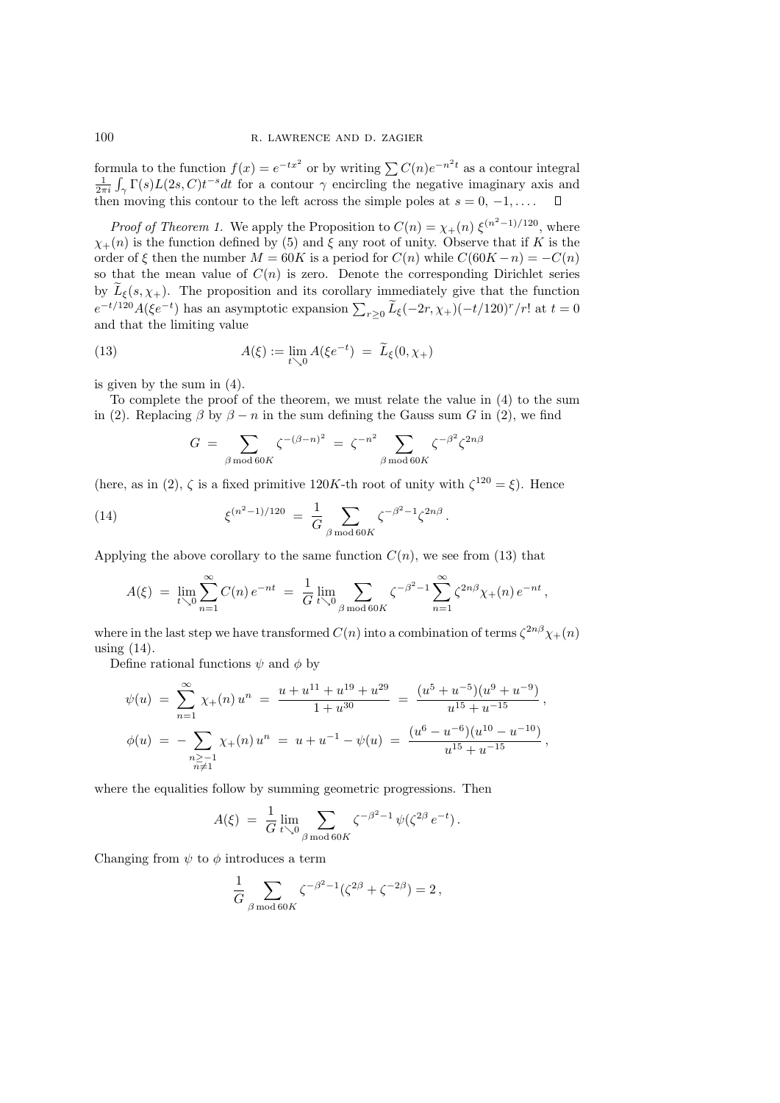formula to the function  $f(x) = e^{-tx^2}$  or by writing  $\sum C(n)e^{-n^2t}$  as a contour integral  $\frac{1}{2\pi i} \int_{\gamma} \Gamma(s) L(2s, C)t^{-s} dt$  for a contour  $\gamma$  encircling the negative imaginary axis and n  $\sum_{\gamma} \Gamma(s) L(2s, C) t^{-s} dt$  for a contour  $\gamma$  encircling the negative imaginary axis and then moving this contour to the left across the simple poles at  $s = 0, -1, \ldots$  .  $\Box$ 

*Proof of Theorem 1.* We apply the Proposition to  $C(n) = \chi_{+}(n) \xi^{(n^2-1)/120}$ , where  $\chi_{+}(n)$  is the function defined by (5) and  $\xi$  any root of unity. Observe that if K is the order of  $\xi$  then the number  $M = 60K$  is a period for  $C(n)$  while  $C(60K - n) = -C(n)$ so that the mean value of  $C(n)$  is zero. Denote the corresponding Dirichlet series by  $\tilde{L}_{\xi}(s, \chi_{+})$ . The proposition and its corollary immediately give that the function  $e^{-t/120}A(\xi e^{-t})$  has an asymptotic expansion  $\sum_{r\geq 0} \widetilde{L}_{\xi}(-2r,\chi_{+})(-t/120)^r/r!$  at  $t=0$ and that the limiting value

(13) 
$$
A(\xi) := \lim_{t \searrow 0} A(\xi e^{-t}) = \widetilde{L}_{\xi}(0, \chi_+)
$$

is given by the sum in (4).

To complete the proof of the theorem, we must relate the value in (4) to the sum in (2). Replacing  $\beta$  by  $\beta - n$  in the sum defining the Gauss sum G in (2), we find

$$
G = \sum_{\beta \bmod 60K} \zeta^{-(\beta - n)^2} = \zeta^{-n^2} \sum_{\beta \bmod 60K} \zeta^{-\beta^2} \zeta^{2n\beta}
$$

(here, as in (2),  $\zeta$  is a fixed primitive 120K-th root of unity with  $\zeta^{120} = \xi$ ). Hence

(14) 
$$
\xi^{(n^2-1)/120} = \frac{1}{G} \sum_{\beta \bmod 60K} \zeta^{-\beta^2-1} \zeta^{2n\beta}.
$$

Applying the above corollary to the same function  $C(n)$ , we see from (13) that

$$
A(\xi) = \lim_{t \searrow 0} \sum_{n=1}^{\infty} C(n) e^{-nt} = \frac{1}{G} \lim_{t \searrow 0} \sum_{\beta \bmod 60K} \zeta^{-\beta^2 - 1} \sum_{n=1}^{\infty} \zeta^{2n\beta} \chi_+(n) e^{-nt},
$$

where in the last step we have transformed  $C(n)$  into a combination of terms  $\zeta^{2n\beta}\chi_{+}(n)$ using  $(14)$ .

Define rational functions  $\psi$  and  $\phi$  by

$$
\psi(u) = \sum_{n=1}^{\infty} \chi_{+}(n) u^{n} = \frac{u + u^{11} + u^{19} + u^{29}}{1 + u^{30}} = \frac{(u^{5} + u^{-5})(u^{9} + u^{-9})}{u^{15} + u^{-15}},
$$
  

$$
\phi(u) = -\sum_{\substack{n \ge -1 \\ n \ne 1}} \chi_{+}(n) u^{n} = u + u^{-1} - \psi(u) = \frac{(u^{6} - u^{-6})(u^{10} - u^{-10})}{u^{15} + u^{-15}},
$$

where the equalities follow by summing geometric progressions. Then

$$
A(\xi) = \frac{1}{G} \lim_{t \searrow 0} \sum_{\beta \bmod 60K} \zeta^{-\beta^2 - 1} \psi(\zeta^{2\beta} e^{-t}).
$$

Changing from  $\psi$  to  $\phi$  introduces a term

$$
\frac{1}{G}\sum_{\beta\bmod 60K}\zeta^{-\beta^2-1}(\zeta^{2\beta}+\zeta^{-2\beta})=2\,,
$$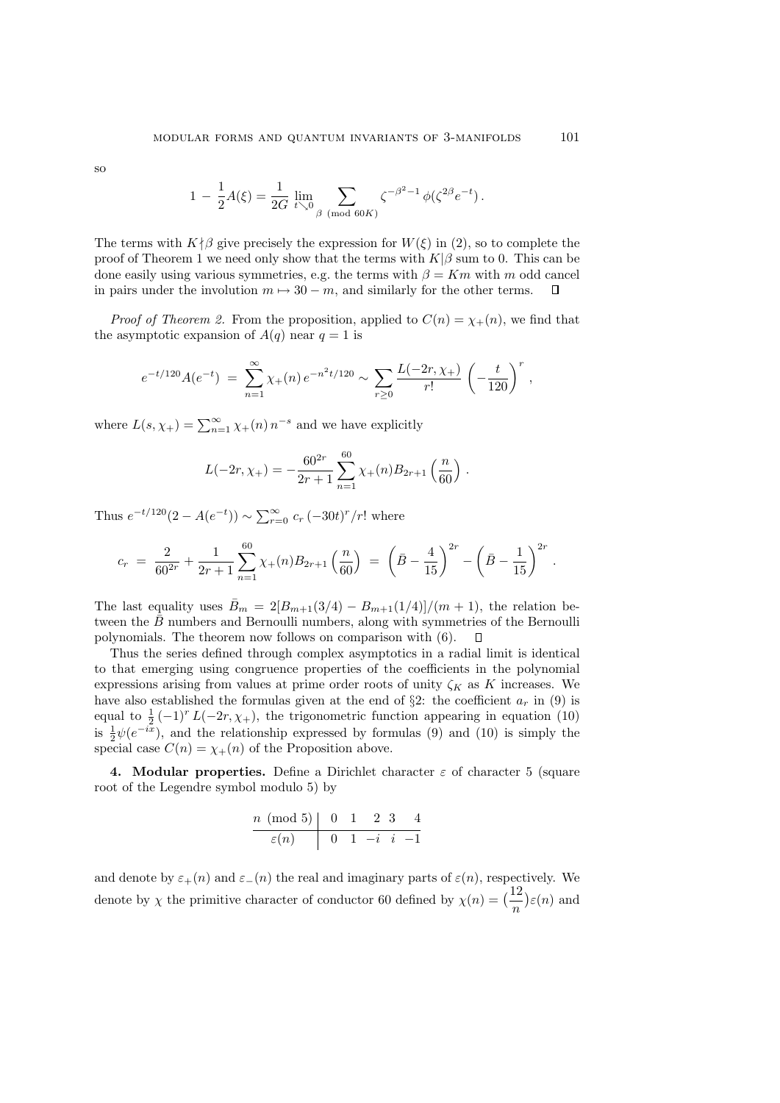so

$$
1 - \frac{1}{2}A(\xi) = \frac{1}{2G} \lim_{t \searrow 0} \sum_{\beta \pmod{60K}} \zeta^{-\beta^2 - 1} \phi(\zeta^{2\beta} e^{-t}).
$$

The terms with  $K \nmid \beta$  give precisely the expression for  $W(\xi)$  in (2), so to complete the proof of Theorem 1 we need only show that the terms with  $K|\beta$  sum to 0. This can be done easily using various symmetries, e.g. the terms with  $\beta = Km$  with m odd cancel in pairs under the involution  $m \mapsto 30 - m$ , and similarly for the other terms.  $\Box$ 

*Proof of Theorem 2.* From the proposition, applied to  $C(n) = \chi_{+}(n)$ , we find that the asymptotic expansion of  $A(q)$  near  $q = 1$  is

$$
e^{-t/120}A(e^{-t}) = \sum_{n=1}^{\infty} \chi_+(n) e^{-n^2t/120} \sim \sum_{r\geq 0} \frac{L(-2r,\chi_+)}{r!} \left(-\frac{t}{120}\right)^r,
$$

where  $L(s, \chi_+) = \sum_{n=1}^{\infty} \chi_+(n) n^{-s}$  and we have explicitly

$$
L(-2r, \chi_{+}) = -\frac{60^{2r}}{2r+1} \sum_{n=1}^{60} \chi_{+}(n) B_{2r+1}\left(\frac{n}{60}\right).
$$

Thus  $e^{-t/120}(2 - A(e^{-t})) \sim \sum_{r=0}^{\infty} c_r (-30t)^r/r!$  where

$$
c_r = \frac{2}{60^{2r}} + \frac{1}{2r+1} \sum_{n=1}^{60} \chi_+(n) B_{2r+1}\left(\frac{n}{60}\right) = \left(\bar{B} - \frac{4}{15}\right)^{2r} - \left(\bar{B} - \frac{1}{15}\right)^{2r}.
$$

The last equality uses  $\bar{B}_m = 2[B_{m+1}(3/4) - B_{m+1}(1/4)]/(m+1)$ , the relation between the  $\bar{B}$  numbers and Bernoulli numbers, along with symmetries of the Bernoulli polynomials. The theorem now follows on comparison with (6).  $\Box$ 

Thus the series defined through complex asymptotics in a radial limit is identical to that emerging using congruence properties of the coefficients in the polynomial expressions arising from values at prime order roots of unity  $\zeta_K$  as K increases. We have also established the formulas given at the end of  $\S2$ : the coefficient  $a_r$  in (9) is equal to  $\frac{1}{2}(-1)^r L(-2r,\chi_+)$ , the trigonometric function appearing in equation (10) is  $\frac{1}{2}\psi(e^{-i\overline{x}})$ , and the relationship expressed by formulas (9) and (10) is simply the special case  $C(n) = \chi_{+}(n)$  of the Proposition above.

4. Modular properties. Define a Dirichlet character  $\varepsilon$  of character 5 (square root of the Legendre symbol modulo 5) by

$$
\begin{array}{c|cccc}\nn \ (\text{mod 5}) & 0 & 1 & 2 & 3 & 4 \\
\hline\n\varepsilon(n) & 0 & 1 & -i & i & -1\n\end{array}
$$

and denote by  $\varepsilon_{+}(n)$  and  $\varepsilon_{-}(n)$  the real and imaginary parts of  $\varepsilon(n)$ , respectively. We denote by  $\chi$  the primitive character of conductor 60 defined by  $\chi(n) = \left(\frac{12}{n}\right)^{1/2}$ ¢  $\varepsilon(n)$  and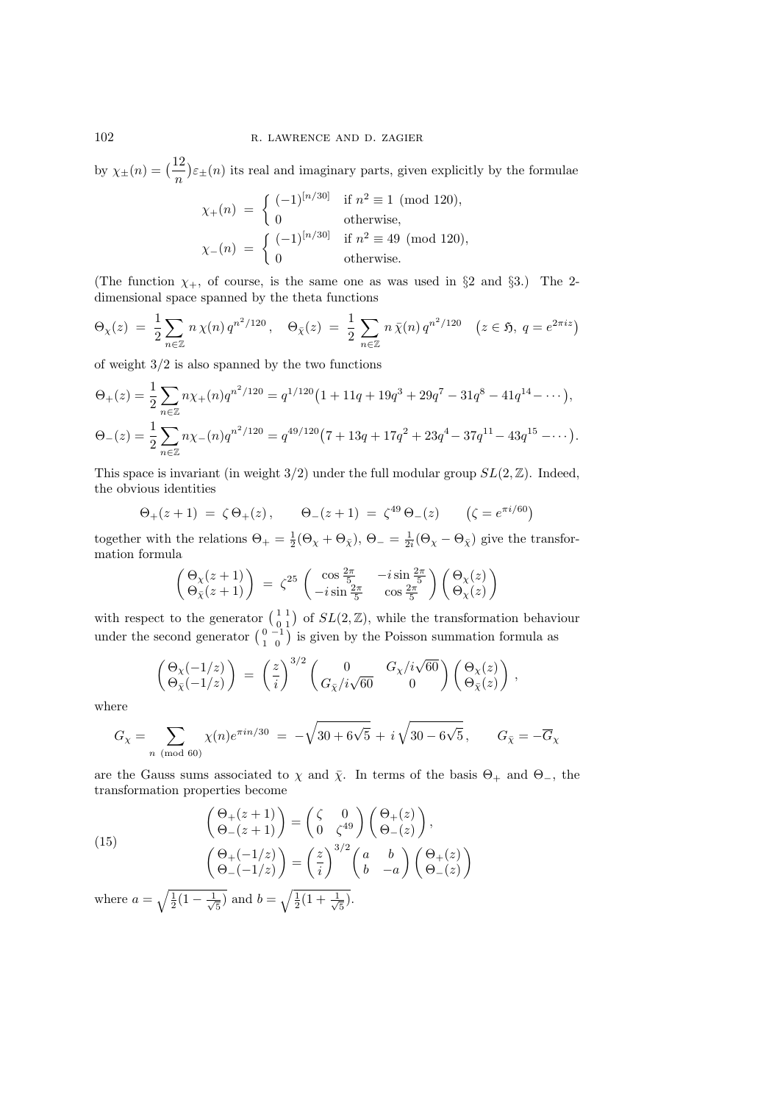by  $\chi_{\pm}(n) = \left(\frac{12}{n}\right)$ ¢  $\varepsilon_{\pm}(n)$  its real and imaginary parts, given explicitly by the formulae

$$
\chi_{+}(n) = \begin{cases}\n(-1)^{[n/30]} & \text{if } n^2 \equiv 1 \pmod{120}, \\
0 & \text{otherwise},\n\end{cases}
$$
\n
$$
\chi_{-}(n) = \begin{cases}\n(-1)^{[n/30]} & \text{if } n^2 \equiv 49 \pmod{120}, \\
0 & \text{otherwise}.\n\end{cases}
$$

(The function  $\chi_+$ , of course, is the same one as was used in §2 and §3.) The 2dimensional space spanned by the theta functions

$$
\Theta_{\chi}(z) = \frac{1}{2} \sum_{n \in \mathbb{Z}} n \chi(n) q^{n^2/120}, \quad \Theta_{\bar{\chi}}(z) = \frac{1}{2} \sum_{n \in \mathbb{Z}} n \bar{\chi}(n) q^{n^2/120} \quad (z \in \mathfrak{H}, q = e^{2\pi i z})
$$

of weight  $3/2$  is also spanned by the two functions

$$
\Theta_{+}(z) = \frac{1}{2} \sum_{n \in \mathbb{Z}} n \chi_{+}(n) q^{n^{2}/120} = q^{1/120} \left( 1 + 11q + 19q^{3} + 29q^{7} - 31q^{8} - 41q^{14} - \cdots \right),
$$
  
\n
$$
\Theta_{-}(z) = \frac{1}{2} \sum_{n \in \mathbb{Z}} n \chi_{-}(n) q^{n^{2}/120} = q^{49/120} \left( 7 + 13q + 17q^{2} + 23q^{4} - 37q^{11} - 43q^{15} - \cdots \right).
$$

This space is invariant (in weight  $3/2$ ) under the full modular group  $SL(2,\mathbb{Z})$ . Indeed, the obvious identities

$$
\Theta_{+}(z+1) = \zeta \Theta_{+}(z), \qquad \Theta_{-}(z+1) = \zeta^{49} \Theta_{-}(z) \qquad (\zeta = e^{\pi i/60})
$$

together with the relations  $\Theta_+ = \frac{1}{2}(\Theta_\chi + \Theta_{\bar{\chi}}), \Theta_- = \frac{1}{2i}(\Theta_\chi - \Theta_{\bar{\chi}})$  give the transformation formula µ

$$
\begin{pmatrix} \Theta_{\chi}(z+1) \\ \Theta_{\bar{\chi}}(z+1) \end{pmatrix} = \zeta^{25} \begin{pmatrix} \cos \frac{2\pi}{5} & -i \sin \frac{2\pi}{5} \\ -i \sin \frac{2\pi}{5} & \cos \frac{2\pi}{5} \end{pmatrix} \begin{pmatrix} \Theta_{\chi}(z) \\ \Theta_{\chi}(z) \end{pmatrix}
$$

with respect to the generator  $\begin{pmatrix} 1 & 1 \\ 0 & 1 \end{pmatrix}$ with respect to the generator  $\begin{pmatrix} 1 & 1 \\ 0 & 1 \end{pmatrix}$  of  $SL(2, \mathbb{Z})$ , while the transformation behaviour under the second generator  $\begin{pmatrix} 0 & -1 \\ 1 & 0 \end{pmatrix}$  is given by the Poisson summation formula as  $\frac{1}{\sqrt{2}}$ is given by the Poisson summation formula as

$$
\begin{pmatrix} \Theta_{\chi}(-1/z) \\ \Theta_{\bar{\chi}}(-1/z) \end{pmatrix} \;=\; \left(\frac{z}{i}\right)^{3/2} \begin{pmatrix} 0 & G_{\chi}/i\sqrt{60} \\ G_{\bar{\chi}}/i\sqrt{60} & 0 \end{pmatrix} \begin{pmatrix} \Theta_{\chi}(z) \\ \Theta_{\bar{\chi}}(z) \end{pmatrix}\,,
$$

where

$$
G_{\chi} = \sum_{n \pmod{60}} \chi(n) e^{\pi i n/30} = -\sqrt{30 + 6\sqrt{5}} + i\sqrt{30 - 6\sqrt{5}}, \qquad G_{\bar{\chi}} = -\overline{G}_{\chi}
$$

are the Gauss sums associated to  $\chi$  and  $\bar{\chi}$ . In terms of the basis  $\Theta_+$  and  $\Theta_-,$  the transformation properties become

(15) 
$$
\begin{pmatrix} \Theta_+(z+1) \\ \Theta_-(z+1) \end{pmatrix} = \begin{pmatrix} \zeta & 0 \\ 0 & \zeta^{49} \end{pmatrix} \begin{pmatrix} \Theta_+(z) \\ \Theta_-(z) \end{pmatrix}, \\ \begin{pmatrix} \Theta_+(-1/z) \\ \Theta_-(-1/z) \end{pmatrix} = \begin{pmatrix} z \\ i \end{pmatrix}^{3/2} \begin{pmatrix} a & b \\ b & -a \end{pmatrix} \begin{pmatrix} \Theta_+(z) \\ \Theta_-(z) \end{pmatrix}
$$

where  $a = \sqrt{\frac{1}{2}(1 - \frac{1}{\sqrt{2}})}$  $\frac{1}{5}$  and  $b = \sqrt{\frac{1}{2}(1 + \frac{1}{\sqrt{2}})}$ 5 ).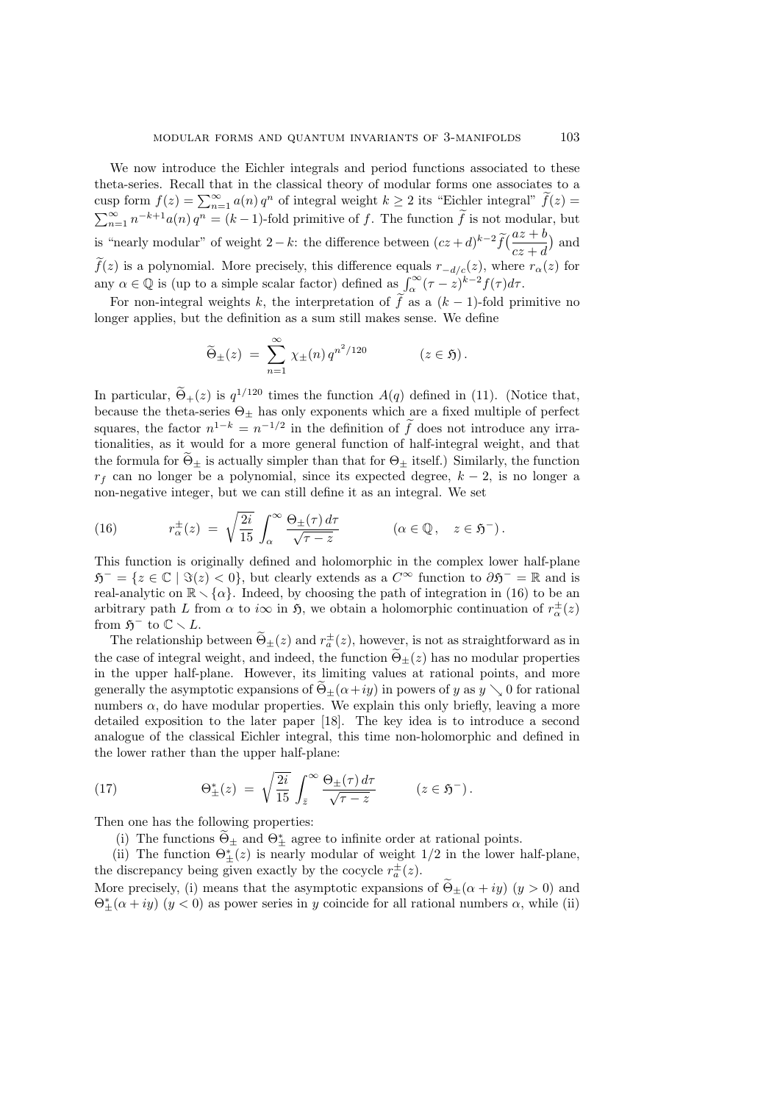We now introduce the Eichler integrals and period functions associated to these theta-series. Recall that in the classical theory of modular forms one associates to a cusp form  $f(z) = \sum_{n=1}^{\infty} a(n) q^n$  of integral weight  $k \ge 2$  its "Eichler integral"  $\tilde{f}(z) =$  $\sum_{n=1}^{\infty} n^{-k+1} a(n) q^n = (k-1)$ -fold primitive of f. The function  $\tilde{f}$  is not modular, but  $\lim_{n \to \infty}$  is "nearly modular" of weight 2 – k: the difference between  $(cz + d)^{k-2} \tilde{f}(\frac{az + b}{z-1})$  $cz + d$ ¢ and  $\tilde{f}(z)$  is a polynomial. More precisely, this difference equals  $r_{-d/c}(z)$ , where  $r_{\alpha}(z)$  for  $f(z)$  is a polynomial. More precisely, this dimerence equals  $f_{-d/c}(z)$ , where<br>any  $\alpha \in \mathbb{Q}$  is (up to a simple scalar factor) defined as  $\int_{\alpha}^{\infty} (\tau - z)^{k-2} f(\tau) d\tau$ .

For non-integral weights k, the interpretation of  $\tilde{f}$  as a  $(k-1)$ -fold primitive no longer applies, but the definition as a sum still makes sense. We define

$$
\widetilde{\Theta}_{\pm}(z) = \sum_{n=1}^{\infty} \chi_{\pm}(n) q^{n^2/120} \qquad (z \in \mathfrak{H}).
$$

In particular,  $\widetilde{\Theta}_{+}(z)$  is  $q^{1/120}$  times the function  $A(q)$  defined in (11). (Notice that, because the theta-series  $\Theta_{\pm}$  has only exponents which are a fixed multiple of perfect squares, the factor  $n^{1-k} = n^{-1/2}$  in the definition of  $\tilde{f}$  does not introduce any irrationalities, as it would for a more general function of half-integral weight, and that the formula for  $\widetilde{\Theta}_{\pm}$  is actually simpler than that for  $\Theta_{\pm}$  itself.) Similarly, the function  $r_f$  can no longer be a polynomial, since its expected degree,  $k - 2$ , is no longer a non-negative integer, but we can still define it as an integral. We set

(16) 
$$
r_{\alpha}^{\pm}(z) = \sqrt{\frac{2i}{15}} \int_{\alpha}^{\infty} \frac{\Theta_{\pm}(\tau) d\tau}{\sqrt{\tau - z}} \qquad (\alpha \in \mathbb{Q}, \quad z \in \mathfrak{H}^{-}).
$$

This function is originally defined and holomorphic in the complex lower half-plane  $\mathfrak{H}^- = \{z \in \mathbb{C} \mid \Im(z) < 0\}$ , but clearly extends as a  $C^\infty$  function to  $\partial \mathfrak{H}^- = \mathbb{R}$  and is real-analytic on  $\mathbb{R} \setminus {\alpha}$ . Indeed, by choosing the path of integration in (16) to be an arbitrary path L from  $\alpha$  to  $i\infty$  in  $\mathfrak{H}$ , we obtain a holomorphic continuation of  $r^{\pm}_{\alpha}(z)$ from  $\mathfrak{H}^-$  to  $\mathbb{C} \setminus L$ .

The relationship between  $\tilde{\Theta}_{\pm}(z)$  and  $r_a^{\pm}(z)$ , however, is not as straightforward as in the case of integral weight, and indeed, the function  $\Theta_{\pm}(z)$  has no modular properties in the upper half-plane. However, its limiting values at rational points, and more generally the asymptotic expansions of  $\Theta_{\pm}(\alpha+iy)$  in powers of y as  $y \searrow 0$  for rational numbers  $\alpha$ , do have modular properties. We explain this only briefly, leaving a more detailed exposition to the later paper [18]. The key idea is to introduce a second analogue of the classical Eichler integral, this time non-holomorphic and defined in the lower rather than the upper half-plane:

(17) 
$$
\Theta_{\pm}^*(z) = \sqrt{\frac{2i}{15}} \int_{\bar{z}}^{\infty} \frac{\Theta_{\pm}(\tau) d\tau}{\sqrt{\tau - z}} \qquad (z \in \mathfrak{H}^-).
$$

Then one has the following properties:

(i) The functions  $\widetilde{\Theta}_{\pm}$  and  $\Theta_{\pm}^*$  agree to infinite order at rational points.

(ii) The function  $\Theta_{\pm}^{*}(z)$  is nearly modular of weight  $1/2$  in the lower half-plane, the discrepancy being given exactly by the cocycle  $r_a^{\pm}(z)$ .

More precisely, (i) means that the asymptotic expansions of  $\Theta$ +( $\alpha$  + iy) (y > 0) and  $\Theta_{\pm}^*(\alpha + iy)$   $(y < 0)$  as power series in y coincide for all rational numbers  $\alpha$ , while (ii)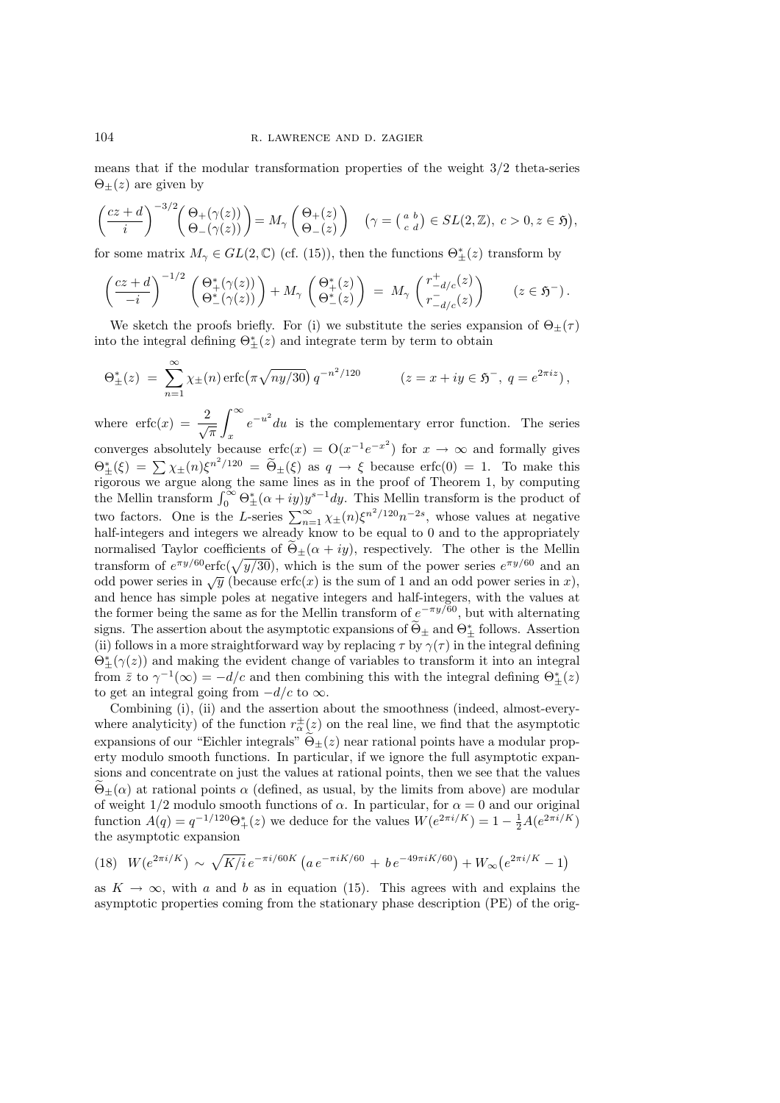means that if the modular transformation properties of the weight 3/2 theta-series  $\Theta_{+}(z)$  are given by

$$
\left(\frac{cz+d}{i}\right)^{-3/2} \left(\frac{\Theta_+(\gamma(z))}{\Theta_-(\gamma(z))}\right) = M_\gamma\left(\frac{\Theta_+(z)}{\Theta_-(z)}\right) \quad \left(\gamma = \left(\begin{smallmatrix} a & b \\ c & d \end{smallmatrix}\right) \in SL(2,\mathbb{Z}), \ c > 0, z \in \mathfrak{H}\right),
$$

for some matrix  $M_{\gamma} \in GL(2, \mathbb{C})$  (cf. (15)), then the functions  $\Theta_{\pm}^{*}(z)$  transform by

$$
\left(\frac{cz+d}{-i}\right)^{-1/2}\left(\frac{\Theta_+^*(\gamma(z))}{\Theta_-^*(\gamma(z))}\right)+M_\gamma\left(\frac{\Theta_+^*(z)}{\Theta_-^*(z)}\right) = M_\gamma\left(\frac{r_{-d/c}^+(z)}{r_{-d/c}^-(z)}\right) \qquad (z\in\mathfrak{H}^-).
$$

We sketch the proofs briefly. For (i) we substitute the series expansion of  $\Theta_{\pm}(\tau)$ into the integral defining  $\Theta_{\pm}^*(z)$  and integrate term by term to obtain

$$
\Theta_{\pm}^{*}(z) = \sum_{n=1}^{\infty} \chi_{\pm}(n) \operatorname{erfc}(\pi \sqrt{ny/30}) q^{-n^{2}/120} \qquad (z = x + iy \in \mathfrak{H}^{-}, q = e^{2\pi i z}),
$$

where  $\operatorname{erfc}(x) = \frac{2}{\sqrt{\pi}}$ x  $e^{-u^2}du$  is the complementary error function. The series converges absolutely because  $erfc(x) = O(x^{-1}e^{-x^2})$  for  $x \to \infty$  and formally gives  $\Theta_{\pm}^{*}(\xi) = \sum \chi_{\pm}(n) \xi^{n^2/120} = \widetilde{\Theta}_{\pm}(\xi)$  as  $q \to \xi$  because erfc(0) = 1. To make this rigorous we argue along the same lines as in the proof of Theorem 1, by computing rigorous we argue along the same lines as in the proof of Theorem 1, by computing<br>the Mellin transform  $\int_0^\infty \Theta^*_{\pm}(\alpha + iy)y^{s-1}dy$ . This Mellin transform is the product of two factors. One is the L-series  $\sum_{n=1}^{\infty} \chi_{\pm}(n) \xi^{n^2/120} n^{-2s}$ , whose values at negative half-integers and integers we already know to be equal to 0 and to the appropriately normalised Taylor coefficients of  $\Theta_{\pm}(\alpha + iy)$ , respectively. The other is the Mellin normalised Taylor coefficients of  $\Theta_{\pm}(\alpha + iy)$ , respectively. The other is the Mellin transform of  $e^{\pi y/60}$  erfc( $\sqrt{y/30}$ ), which is the sum of the power series  $e^{\pi y/60}$  and an odd power series in  $\sqrt{y}$  (because erfc(x) is the sum of 1 and an odd power series in x), and hence has simple poles at negative integers and half-integers, with the values at the former being the same as for the Mellin transform of  $e^{-\pi y/60}$ , but with alternating signs. The assertion about the asymptotic expansions of  $\widetilde{\Theta}_{\pm}$  and  $\Theta_{\pm}^*$  follows. Assertion (ii) follows in a more straightforward way by replacing  $\tau$  by  $\gamma(\tau)$  in the integral defining  $\Theta_{\pm}^{*}(\gamma(z))$  and making the evident change of variables to transform it into an integral from  $\bar{z}$  to  $\gamma^{-1}(\infty) = -d/c$  and then combining this with the integral defining  $\Theta_{\pm}^{*}(z)$ to get an integral going from  $-d/c$  to  $\infty$ .

Combining (i), (ii) and the assertion about the smoothness (indeed, almost-everywhere analyticity) of the function  $r_{\alpha}^{\pm}(z)$  on the real line, we find that the asymptotic expansions of our "Eichler integrals"  $\widetilde{\Theta}_+(z)$  near rational points have a modular property modulo smooth functions. In particular, if we ignore the full asymptotic expansions and concentrate on just the values at rational points, then we see that the values  $\Theta_{\pm}(\alpha)$  at rational points  $\alpha$  (defined, as usual, by the limits from above) are modular of weight  $1/2$  modulo smooth functions of  $\alpha$ . In particular, for  $\alpha = 0$  and our original function  $A(q) = q^{-1/120} \Theta^*_{+}(z)$  we deduce for the values  $W(e^{2\pi i/K}) = 1 - \frac{1}{2}A(e^{2\pi i/K})$ the asymptotic expansion

(18) 
$$
W(e^{2\pi i/K}) \sim \sqrt{K/i} e^{-\pi i/60K} \left( a e^{-\pi i K/60} + b e^{-49\pi i K/60} \right) + W_{\infty} (e^{2\pi i/K} - 1)
$$

as  $K \to \infty$ , with a and b as in equation (15). This agrees with and explains the asymptotic properties coming from the stationary phase description (PE) of the orig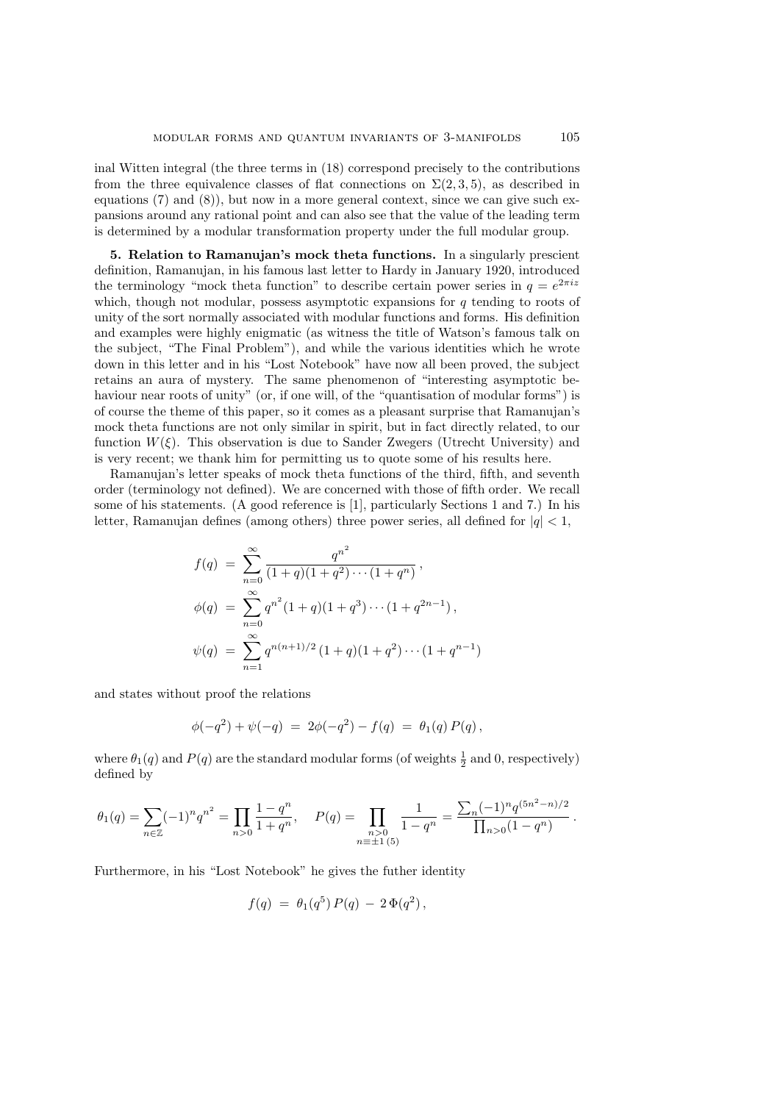inal Witten integral (the three terms in (18) correspond precisely to the contributions from the three equivalence classes of flat connections on  $\Sigma(2,3,5)$ , as described in equations (7) and (8)), but now in a more general context, since we can give such expansions around any rational point and can also see that the value of the leading term is determined by a modular transformation property under the full modular group.

5. Relation to Ramanujan's mock theta functions. In a singularly prescient definition, Ramanujan, in his famous last letter to Hardy in January 1920, introduced the terminology "mock theta function" to describe certain power series in  $q = e^{2\pi i z}$ which, though not modular, possess asymptotic expansions for  $q$  tending to roots of unity of the sort normally associated with modular functions and forms. His definition and examples were highly enigmatic (as witness the title of Watson's famous talk on the subject, "The Final Problem"), and while the various identities which he wrote down in this letter and in his "Lost Notebook" have now all been proved, the subject retains an aura of mystery. The same phenomenon of "interesting asymptotic behaviour near roots of unity" (or, if one will, of the "quantisation of modular forms") is of course the theme of this paper, so it comes as a pleasant surprise that Ramanujan's mock theta functions are not only similar in spirit, but in fact directly related, to our function  $W(\xi)$ . This observation is due to Sander Zwegers (Utrecht University) and is very recent; we thank him for permitting us to quote some of his results here.

Ramanujan's letter speaks of mock theta functions of the third, fifth, and seventh order (terminology not defined). We are concerned with those of fifth order. We recall some of his statements. (A good reference is [1], particularly Sections 1 and 7.) In his letter, Ramanujan defines (among others) three power series, all defined for  $|q| < 1$ ,

$$
f(q) = \sum_{n=0}^{\infty} \frac{q^{n^2}}{(1+q)(1+q^2)\cdots(1+q^n)},
$$
  
\n
$$
\phi(q) = \sum_{n=0}^{\infty} q^{n^2} (1+q)(1+q^3)\cdots(1+q^{2n-1}),
$$
  
\n
$$
\psi(q) = \sum_{n=1}^{\infty} q^{n(n+1)/2} (1+q)(1+q^2)\cdots(1+q^{n-1})
$$

and states without proof the relations

$$
\phi(-q^2) + \psi(-q) = 2\phi(-q^2) - f(q) = \theta_1(q) P(q),
$$

where  $\theta_1(q)$  and  $P(q)$  are the standard modular forms (of weights  $\frac{1}{2}$  and 0, respectively) defined by

$$
\theta_1(q) = \sum_{n \in \mathbb{Z}} (-1)^n q^{n^2} = \prod_{n>0} \frac{1-q^n}{1+q^n}, \quad P(q) = \prod_{\substack{n>0 \\ n \equiv \pm 1 \ (5)}} \frac{1}{1-q^n} = \frac{\sum_n (-1)^n q^{(5n^2 - n)/2}}{\prod_{n>0} (1-q^n)}.
$$

Furthermore, in his "Lost Notebook" he gives the futher identity

$$
f(q) = \theta_1(q^5) P(q) - 2 \Phi(q^2),
$$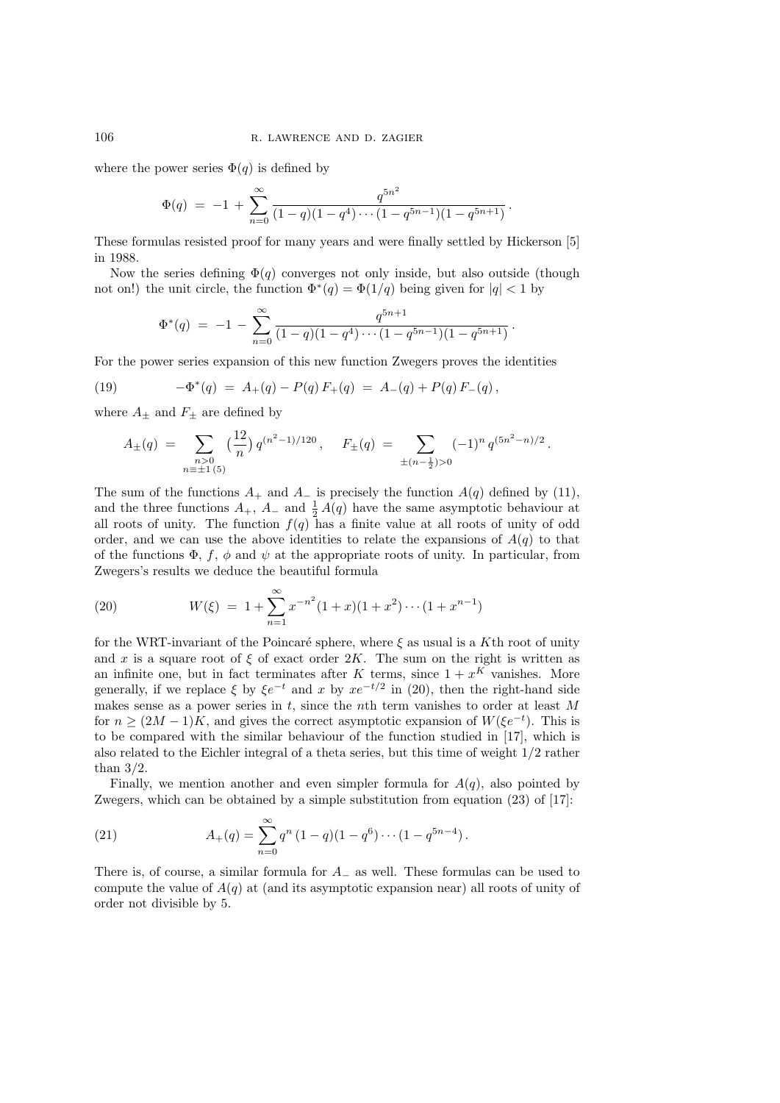where the power series  $\Phi(q)$  is defined by

$$
\Phi(q) = -1 + \sum_{n=0}^{\infty} \frac{q^{5n^2}}{(1-q)(1-q^4)\cdots(1-q^{5n-1})(1-q^{5n+1})}.
$$

These formulas resisted proof for many years and were finally settled by Hickerson [5] in 1988.

Now the series defining  $\Phi(q)$  converges not only inside, but also outside (though not on!) the unit circle, the function  $\Phi^*(q) = \Phi(1/q)$  being given for  $|q| < 1$  by

$$
\Phi^*(q) = -1 - \sum_{n=0}^{\infty} \frac{q^{5n+1}}{(1-q)(1-q^4)\cdots(1-q^{5n-1})(1-q^{5n+1})}.
$$

For the power series expansion of this new function Zwegers proves the identities

(19) 
$$
-\Phi^*(q) = A_+(q) - P(q) F_+(q) = A_-(q) + P(q) F_-(q),
$$

where  $A_{\pm}$  and  $F_{\pm}$  are defined by

$$
A_{\pm}(q) = \sum_{\substack{n>0\\n \equiv \pm 1 \ (5)}} \left(\frac{12}{n}\right) q^{(n^2-1)/120}, \quad F_{\pm}(q) = \sum_{\pm (n-\frac{1}{2}) > 0} (-1)^n q^{(5n^2-n)/2}.
$$

The sum of the functions  $A_+$  and  $A_-$  is precisely the function  $A(q)$  defined by (11), and the three functions  $A_+$ ,  $A_-$  and  $\frac{1}{2}A(q)$  have the same asymptotic behaviour at all roots of unity. The function  $f(q)$  has a finite value at all roots of unity of odd order, and we can use the above identities to relate the expansions of  $A(q)$  to that of the functions  $\Phi$ , f,  $\phi$  and  $\psi$  at the appropriate roots of unity. In particular, from Zwegers's results we deduce the beautiful formula

(20) 
$$
W(\xi) = 1 + \sum_{n=1}^{\infty} x^{-n^2} (1+x)(1+x^2) \cdots (1+x^{n-1})
$$

for the WRT-invariant of the Poincaré sphere, where  $\xi$  as usual is a Kth root of unity and x is a square root of  $\xi$  of exact order 2K. The sum on the right is written as an infinite one, but in fact terminates after K terms, since  $1 + x^{K}$  vanishes. More generally, if we replace  $\xi$  by  $\xi e^{-t}$  and x by  $xe^{-t/2}$  in (20), then the right-hand side makes sense as a power series in  $t$ , since the nth term vanishes to order at least M for  $n \geq (2M-1)K$ , and gives the correct asymptotic expansion of  $W(\xi e^{-t})$ . This is to be compared with the similar behaviour of the function studied in [17], which is also related to the Eichler integral of a theta series, but this time of weight 1/2 rather than  $3/2$ .

Finally, we mention another and even simpler formula for  $A(q)$ , also pointed by Zwegers, which can be obtained by a simple substitution from equation (23) of [17]:

(21) 
$$
A_{+}(q) = \sum_{n=0}^{\infty} q^{n} (1 - q)(1 - q^{6}) \cdots (1 - q^{5n-4}).
$$

There is, of course, a similar formula for  $A_$  as well. These formulas can be used to compute the value of  $A(q)$  at (and its asymptotic expansion near) all roots of unity of order not divisible by 5.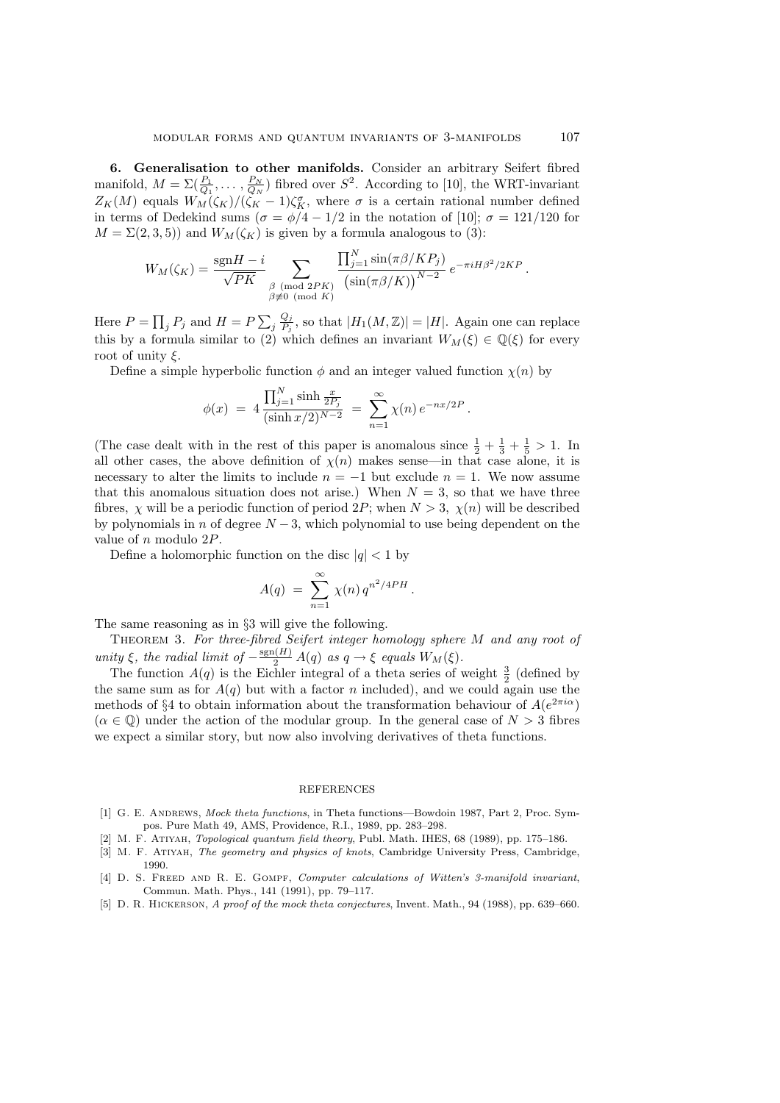6. Generalisation to other manifolds. Consider an arbitrary Seifert fibred manifold,  $M = \sum_{i}(\frac{P_1}{Q_1}, \ldots, \frac{P_N}{Q_N})$  fibred over  $S^2$ . According to [10], the WRT-invariant  $Z_K(M)$  equals  $W_M(\zeta_K)/(\zeta_K-1)\zeta_K^{\sigma}$ , where  $\sigma$  is a certain rational number defined in terms of Dedekind sums ( $\sigma = \phi/4 - 1/2$  in the notation of [10];  $\sigma = 121/120$  for  $M = \Sigma(2,3,5)$  and  $W_M(\zeta_K)$  is given by a formula analogous to (3):

$$
W_M(\zeta_K) = \frac{\text{sgn}H - i}{\sqrt{PK}} \sum_{\substack{\beta \pmod{2PK} \\ \beta \not\equiv 0 \pmod{K}}} \frac{\prod_{j=1}^N \sin(\pi \beta/KP_j)}{\left(\sin(\pi \beta/K)\right)^{N-2}} e^{-\pi i H \beta^2/2KP}.
$$

Here  $P = \prod_j P_j$  and  $H = P \sum$  $j\frac{Q_j}{P_i}$  $\frac{Q_j}{P_j}$ , so that  $|H_1(M,\mathbb{Z})|=|H|$ . Again one can replace this by a formula similar to (2) which defines an invariant  $W_M(\xi) \in \mathbb{Q}(\xi)$  for every root of unity  $\xi$ .

Define a simple hyperbolic function  $\phi$  and an integer valued function  $\chi(n)$  by

$$
\phi(x) = 4 \frac{\prod_{j=1}^{N} \sinh \frac{x}{2P_j}}{(\sinh (x/2))^{N-2}} = \sum_{n=1}^{\infty} \chi(n) e^{-nx/2P}.
$$

(The case dealt with in the rest of this paper is anomalous since  $\frac{1}{2} + \frac{1}{3} + \frac{1}{5} > 1$ . In all other cases, the above definition of  $\chi(n)$  makes sense—in that case alone, it is necessary to alter the limits to include  $n = -1$  but exclude  $n = 1$ . We now assume that this anomalous situation does not arise.) When  $N = 3$ , so that we have three fibres,  $\chi$  will be a periodic function of period 2P; when  $N > 3$ ,  $\chi(n)$  will be described by polynomials in n of degree  $N-3$ , which polynomial to use being dependent on the value of n modulo 2P.

Define a holomorphic function on the disc  $|q|$  < 1 by

$$
A(q) = \sum_{n=1}^{\infty} \chi(n) q^{n^2/4PH}.
$$

The same reasoning as in §3 will give the following.

THEOREM 3. For three-fibred Seifert integer homology sphere M and any root of unity  $\xi$ , the radial limit of  $-\frac{\text{sgn}(H)}{2}A(q)$  as  $q \to \xi$  equals  $W_M(\xi)$ .

The function  $A(q)$  is the Eichler integral of a theta series of weight  $\frac{3}{2}$  (defined by the same sum as for  $A(q)$  but with a factor n included), and we could again use the methods of §4 to obtain information about the transformation behaviour of  $A(e^{2\pi i\alpha})$  $(\alpha \in \mathbb{Q})$  under the action of the modular group. In the general case of  $N > 3$  fibres we expect a similar story, but now also involving derivatives of theta functions.

## REFERENCES

- [1] G. E. ANDREWS, *Mock theta functions*, in Theta functions—Bowdoin 1987, Part 2, Proc. Sympos. Pure Math 49, AMS, Providence, R.I., 1989, pp. 283–298.
- [2] M. F. Atiyah, Topological quantum field theory, Publ. Math. IHES, 68 (1989), pp. 175–186.
- [3] M. F. Atiyah, The geometry and physics of knots, Cambridge University Press, Cambridge, 1990.
- [4] D. S. FREED AND R. E. GOMPF, Computer calculations of Witten's 3-manifold invariant, Commun. Math. Phys., 141 (1991), pp. 79–117.
- [5] D. R. Hickerson, A proof of the mock theta conjectures, Invent. Math., 94 (1988), pp. 639–660.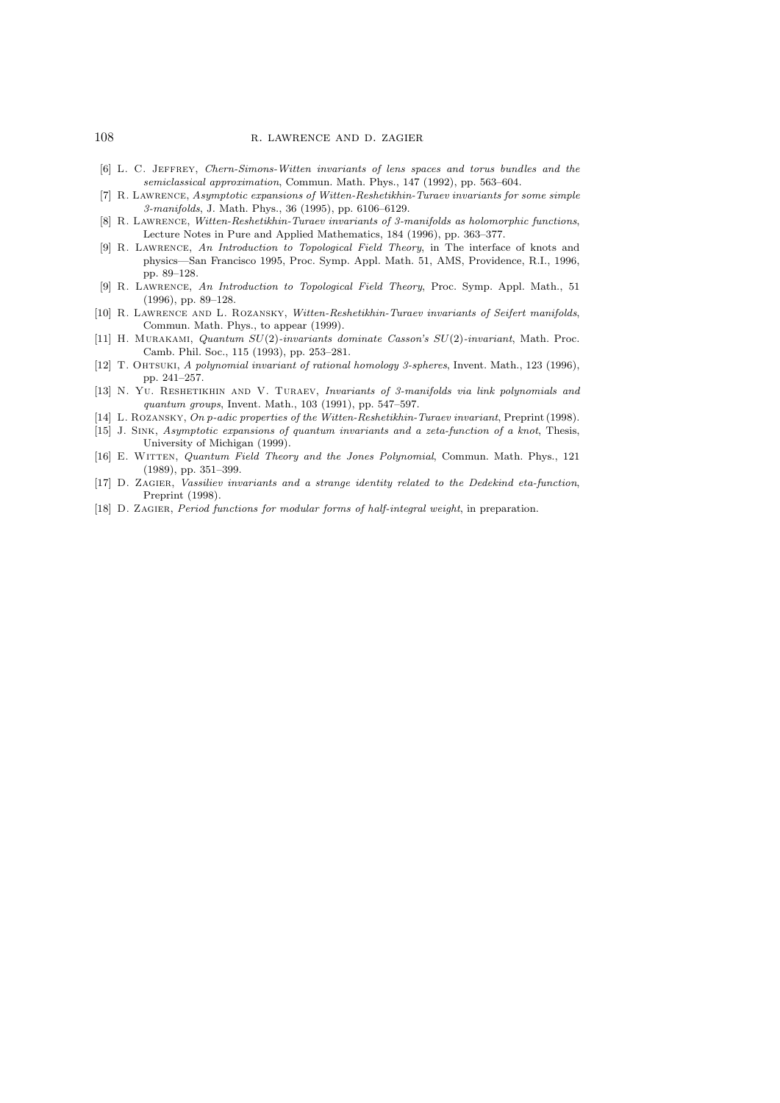- [6] L. C. Jeffrey, Chern-Simons-Witten invariants of lens spaces and torus bundles and the semiclassical approximation, Commun. Math. Phys., 147 (1992), pp. 563–604.
- [7] R. Lawrence, Asymptotic expansions of Witten-Reshetikhin-Turaev invariants for some simple 3-manifolds, J. Math. Phys., 36 (1995), pp. 6106–6129.
- [8] R. LAWRENCE, Witten-Reshetikhin-Turaev invariants of 3-manifolds as holomorphic functions, Lecture Notes in Pure and Applied Mathematics, 184 (1996), pp. 363–377.
- [9] R. Lawrence, An Introduction to Topological Field Theory, in The interface of knots and physics—San Francisco 1995, Proc. Symp. Appl. Math. 51, AMS, Providence, R.I., 1996, pp. 89–128.
- [9] R. Lawrence, An Introduction to Topological Field Theory, Proc. Symp. Appl. Math., 51 (1996), pp. 89–128.
- [10] R. LAWRENCE AND L. ROZANSKY, Witten-Reshetikhin-Turaev invariants of Seifert manifolds, Commun. Math. Phys., to appear (1999).
- [11] H. Murakami, Quantum SU(2)-invariants dominate Casson's SU(2)-invariant, Math. Proc. Camb. Phil. Soc., 115 (1993), pp. 253–281.
- [12] T. OHTSUKI, A polynomial invariant of rational homology 3-spheres, Invent. Math., 123 (1996), pp. 241–257.
- [13] N. YU. RESHETIKHIN AND V. TURAEV, Invariants of 3-manifolds via link polynomials and quantum groups, Invent. Math., 103 (1991), pp. 547–597.
- [14] L. Rozansky, On p-adic properties of the Witten-Reshetikhin-Turaev invariant, Preprint (1998).
- [15] J. Sink, Asymptotic expansions of quantum invariants and a zeta-function of a knot, Thesis, University of Michigan (1999).
- [16] E. WITTEN, Quantum Field Theory and the Jones Polynomial, Commun. Math. Phys., 121 (1989), pp. 351–399.
- [17] D. Zagier, Vassiliev invariants and a strange identity related to the Dedekind eta-function, Preprint (1998).
- [18] D. ZAGIER, *Period functions for modular forms of half-integral weight*, in preparation.